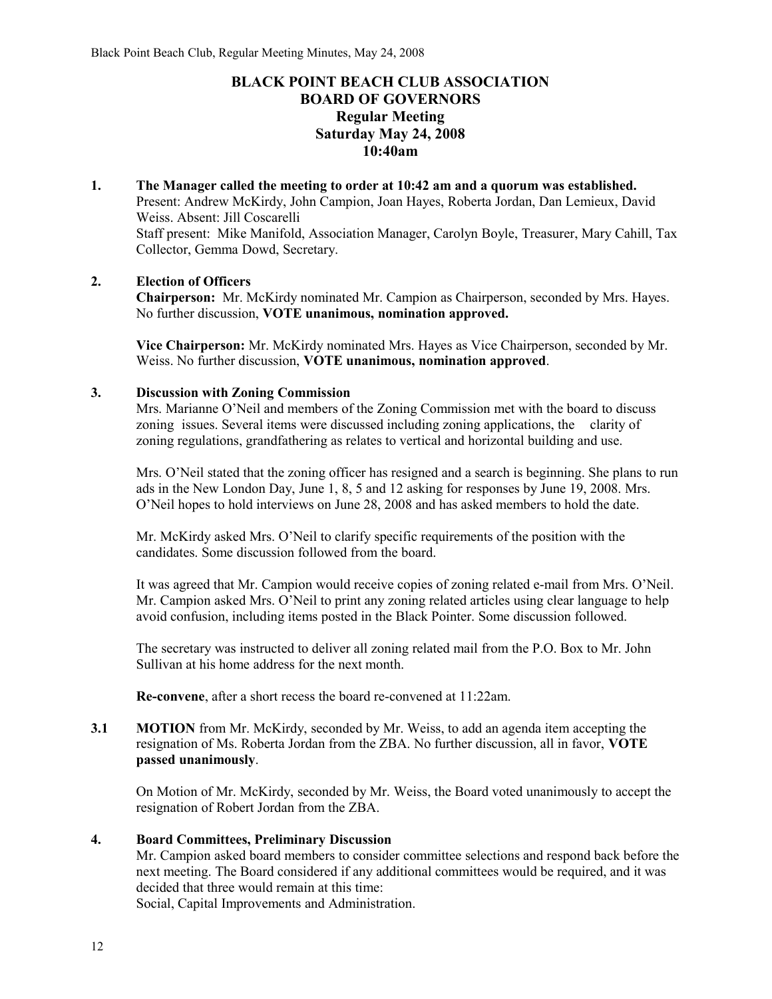# **BLACK POINT BEACH CLUB ASSOCIATION BOARD OF GOVERNORS Regular Meeting Saturday May 24, 2008 10:40am**

**1. The Manager called the meeting to order at 10:42 am and a quorum was established.**  Present: Andrew McKirdy, John Campion, Joan Hayes, Roberta Jordan, Dan Lemieux, David Weiss. Absent: Jill Coscarelli Staff present: Mike Manifold, Association Manager, Carolyn Boyle, Treasurer, Mary Cahill, Tax Collector, Gemma Dowd, Secretary.

## **2. Election of Officers**

**Chairperson:** Mr. McKirdy nominated Mr. Campion as Chairperson, seconded by Mrs. Hayes. No further discussion, **VOTE unanimous, nomination approved.**

**Vice Chairperson:** Mr. McKirdy nominated Mrs. Hayes as Vice Chairperson, seconded by Mr. Weiss. No further discussion, **VOTE unanimous, nomination approved**.

## **3. Discussion with Zoning Commission**

Mrs. Marianne O'Neil and members of the Zoning Commission met with the board to discuss zoning issues. Several items were discussed including zoning applications, the clarity of zoning regulations, grandfathering as relates to vertical and horizontal building and use.

Mrs. O'Neil stated that the zoning officer has resigned and a search is beginning. She plans to run ads in the New London Day, June 1, 8, 5 and 12 asking for responses by June 19, 2008. Mrs. O'Neil hopes to hold interviews on June 28, 2008 and has asked members to hold the date.

Mr. McKirdy asked Mrs. O'Neil to clarify specific requirements of the position with the candidates. Some discussion followed from the board.

It was agreed that Mr. Campion would receive copies of zoning related e-mail from Mrs. O'Neil. Mr. Campion asked Mrs. O'Neil to print any zoning related articles using clear language to help avoid confusion, including items posted in the Black Pointer. Some discussion followed.

The secretary was instructed to deliver all zoning related mail from the P.O. Box to Mr. John Sullivan at his home address for the next month.

**Re-convene**, after a short recess the board re-convened at 11:22am.

**3.1 MOTION** from Mr. McKirdy, seconded by Mr. Weiss, to add an agenda item accepting the resignation of Ms. Roberta Jordan from the ZBA. No further discussion, all in favor, **VOTE passed unanimously**.

On Motion of Mr. McKirdy, seconded by Mr. Weiss, the Board voted unanimously to accept the resignation of Robert Jordan from the ZBA.

## **4. Board Committees, Preliminary Discussion**

Mr. Campion asked board members to consider committee selections and respond back before the next meeting. The Board considered if any additional committees would be required, and it was decided that three would remain at this time:

Social, Capital Improvements and Administration.